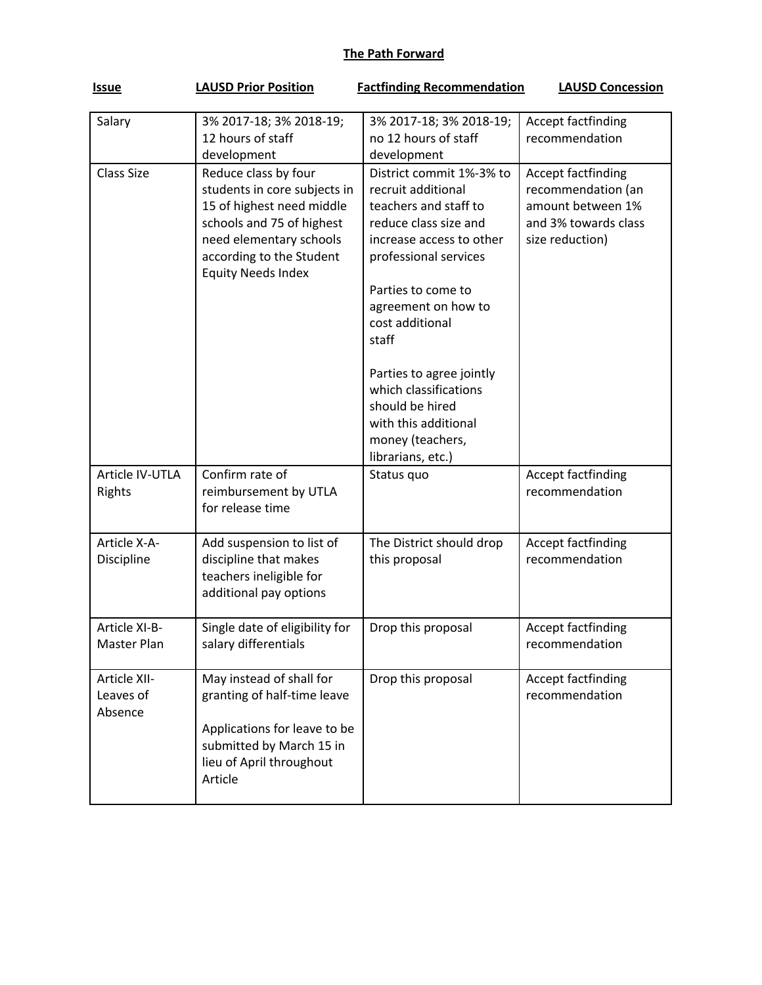## **The Path Forward**

| <b>Issue</b>                         | <b>LAUSD Prior Position</b>                                                                                                                                                                        | <b>Factfinding Recommendation</b>                                                                                                                                                                                                                                                                                                                                       | <b>LAUSD Concession</b>                                                                                         |
|--------------------------------------|----------------------------------------------------------------------------------------------------------------------------------------------------------------------------------------------------|-------------------------------------------------------------------------------------------------------------------------------------------------------------------------------------------------------------------------------------------------------------------------------------------------------------------------------------------------------------------------|-----------------------------------------------------------------------------------------------------------------|
| Salary                               | 3% 2017-18; 3% 2018-19;<br>12 hours of staff<br>development                                                                                                                                        | 3% 2017-18; 3% 2018-19;<br>no 12 hours of staff<br>development                                                                                                                                                                                                                                                                                                          | <b>Accept factfinding</b><br>recommendation                                                                     |
| <b>Class Size</b>                    | Reduce class by four<br>students in core subjects in<br>15 of highest need middle<br>schools and 75 of highest<br>need elementary schools<br>according to the Student<br><b>Equity Needs Index</b> | District commit 1%-3% to<br>recruit additional<br>teachers and staff to<br>reduce class size and<br>increase access to other<br>professional services<br>Parties to come to<br>agreement on how to<br>cost additional<br>staff<br>Parties to agree jointly<br>which classifications<br>should be hired<br>with this additional<br>money (teachers,<br>librarians, etc.) | <b>Accept factfinding</b><br>recommendation (an<br>amount between 1%<br>and 3% towards class<br>size reduction) |
| Article IV-UTLA<br>Rights            | Confirm rate of<br>reimbursement by UTLA<br>for release time                                                                                                                                       | Status quo                                                                                                                                                                                                                                                                                                                                                              | Accept factfinding<br>recommendation                                                                            |
| Article X-A-<br>Discipline           | Add suspension to list of<br>discipline that makes<br>teachers ineligible for<br>additional pay options                                                                                            | The District should drop<br>this proposal                                                                                                                                                                                                                                                                                                                               | <b>Accept factfinding</b><br>recommendation                                                                     |
| Article XI-B-<br>Master Plan         | Single date of eligibility for<br>salary differentials                                                                                                                                             | Drop this proposal                                                                                                                                                                                                                                                                                                                                                      | <b>Accept factfinding</b><br>recommendation                                                                     |
| Article XII-<br>Leaves of<br>Absence | May instead of shall for<br>granting of half-time leave<br>Applications for leave to be<br>submitted by March 15 in<br>lieu of April throughout<br>Article                                         | Drop this proposal                                                                                                                                                                                                                                                                                                                                                      | Accept factfinding<br>recommendation                                                                            |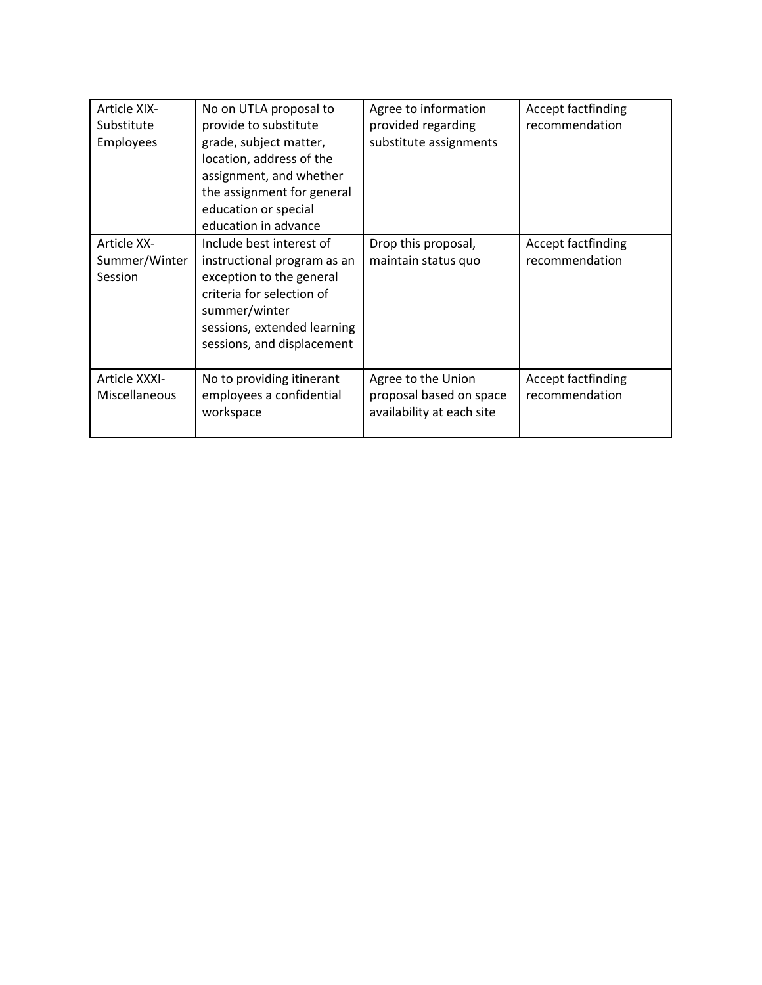| <b>Article XIX-</b><br>Substitute<br><b>Employees</b> | No on UTLA proposal to<br>provide to substitute<br>grade, subject matter,<br>location, address of the<br>assignment, and whether<br>the assignment for general<br>education or special<br>education in advance | Agree to information<br>provided regarding<br>substitute assignments       | <b>Accept factfinding</b><br>recommendation |
|-------------------------------------------------------|----------------------------------------------------------------------------------------------------------------------------------------------------------------------------------------------------------------|----------------------------------------------------------------------------|---------------------------------------------|
| <b>Article XX-</b><br>Summer/Winter<br>Session        | Include best interest of<br>instructional program as an<br>exception to the general<br>criteria for selection of<br>summer/winter<br>sessions, extended learning<br>sessions, and displacement                 | Drop this proposal,<br>maintain status quo                                 | <b>Accept factfinding</b><br>recommendation |
| Article XXXI-<br>Miscellaneous                        | No to providing itinerant<br>employees a confidential<br>workspace                                                                                                                                             | Agree to the Union<br>proposal based on space<br>availability at each site | Accept factfinding<br>recommendation        |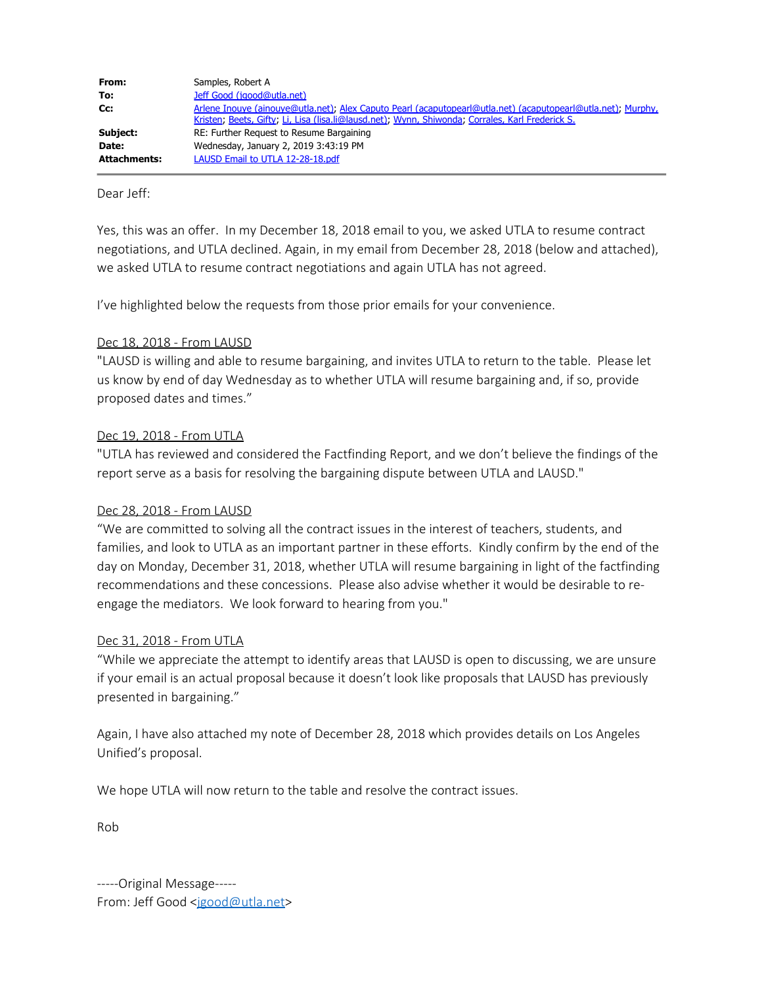| From:        | Samples, Robert A                                                                                                                                                                                                |
|--------------|------------------------------------------------------------------------------------------------------------------------------------------------------------------------------------------------------------------|
| To:          | Jeff Good (jgood@utla.net)                                                                                                                                                                                       |
| Cc:          | Arlene Inouye (ainouye@utla.net), Alex Caputo Pearl (acaputopearl@utla.net) (acaputopearl@utla.net); Murphy,<br>Kristen, Beets, Gifty, Li, Lisa (lisa.li@lausd.net), Wynn, Shiwonda, Corrales, Karl Frederick S. |
| Subject:     | RE: Further Request to Resume Bargaining                                                                                                                                                                         |
| Date:        | Wednesday, January 2, 2019 3:43:19 PM                                                                                                                                                                            |
| Attachments: | LAUSD Email to UTLA 12-28-18.pdf                                                                                                                                                                                 |

Dear Jeff:

Yes, this was an offer. In my December 18, 2018 email to you, we asked UTLA to resume contract negotiations, and UTLA declined. Again, in my email from December 28, 2018 (below and attached), we asked UTLA to resume contract negotiations and again UTLA has not agreed.

I've highlighted below the requests from those prior emails for your convenience.

## Dec 18, 2018 - From LAUSD

"LAUSD is willing and able to resume bargaining, and invites UTLA to return to the table. Please let us know by end of day Wednesday as to whether UTLA will resume bargaining and, if so, provide proposed dates and times."

#### Dec 19, 2018 - From UTLA

"UTLA has reviewed and considered the Factfinding Report, and we don't believe the findings of the report serve as a basis for resolving the bargaining dispute between UTLA and LAUSD."

# Dec 28, 2018 - From LAUSD

"We are committed to solving all the contract issues in the interest of teachers, students, and families, and look to UTLA as an important partner in these efforts. Kindly confirm by the end of the day on Monday, December 31, 2018, whether UTLA will resume bargaining in light of the factfinding recommendations and these concessions. Please also advise whether it would be desirable to reengage the mediators. We look forward to hearing from you."

#### Dec 31, 2018 - From UTLA

"While we appreciate the attempt to identify areas that LAUSD is open to discussing, we are unsure if your email is an actual proposal because it doesn't look like proposals that LAUSD has previously presented in bargaining."

Again, I have also attached my note of December 28, 2018 which provides details on Los Angeles Unified's proposal.

We hope UTLA will now return to the table and resolve the contract issues.

Rob

-----Original Message----- From: Jeff Good [<jgood@utla.net](mailto:jgood@utla.net)>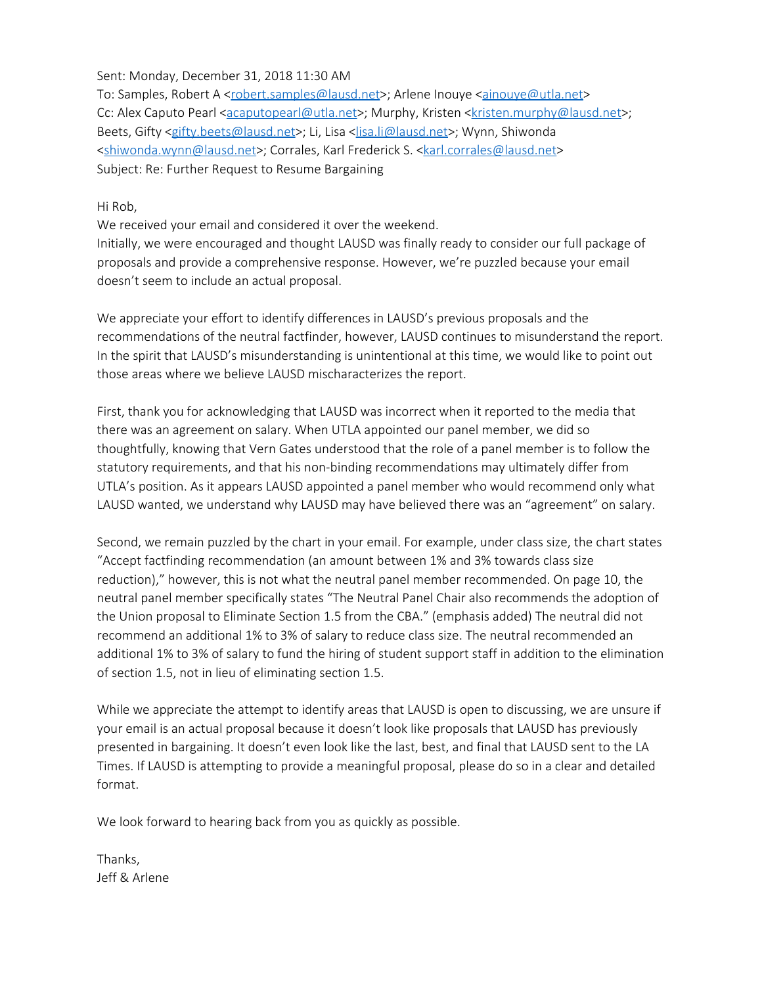# Sent: Monday, December 31, 2018 11:30 AM

To: Samples, Robert A [<robert.samples@lausd.net](mailto:robert.samples@lausd.net)>; Arlene Inouye [<ainouye@utla.net](mailto:ainouye@utla.net)> Cc: Alex Caputo Pearl <**acaputopearl@utla.net>**; Murphy, Kristen <*[kristen.murphy@lausd.net](mailto:kristen.murphy@lausd.net)>*; Beets, Gifty [<gifty.beets@lausd.net](mailto:gifty.beets@lausd.net)>; Li, Lisa [<lisa.li@lausd.net](mailto:lisa.li@lausd.net)>; Wynn, Shiwonda [<shiwonda.wynn@lausd.net](mailto:shiwonda.wynn@lausd.net)>; Corrales, Karl Frederick S. [<karl.corrales@lausd.net](mailto:karl.corrales@lausd.net)> Subject: Re: Further Request to Resume Bargaining

Hi Rob,

We received your email and considered it over the weekend. Initially, we were encouraged and thought LAUSD was finally ready to consider our full package of proposals and provide a comprehensive response. However, we're puzzled because your email doesn't seem to include an actual proposal.

We appreciate your effort to identify differences in LAUSD's previous proposals and the recommendations of the neutral factfinder, however, LAUSD continues to misunderstand the report. In the spirit that LAUSD's misunderstanding is unintentional at this time, we would like to point out those areas where we believe LAUSD mischaracterizes the report.

First, thank you for acknowledging that LAUSD was incorrect when it reported to the media that there was an agreement on salary. When UTLA appointed our panel member, we did so thoughtfully, knowing that Vern Gates understood that the role of a panel member is to follow the statutory requirements, and that his non-binding recommendations may ultimately differ from UTLA's position. As it appears LAUSD appointed a panel member who would recommend only what LAUSD wanted, we understand why LAUSD may have believed there was an "agreement" on salary.

Second, we remain puzzled by the chart in your email. For example, under class size, the chart states "Accept factfinding recommendation (an amount between 1% and 3% towards class size reduction)," however, this is not what the neutral panel member recommended. On page 10, the neutral panel member specifically states "The Neutral Panel Chair also recommends the adoption of the Union proposal to Eliminate Section 1.5 from the CBA." (emphasis added) The neutral did not recommend an additional 1% to 3% of salary to reduce class size. The neutral recommended an additional 1% to 3% of salary to fund the hiring of student support staff in addition to the elimination of section 1.5, not in lieu of eliminating section 1.5.

While we appreciate the attempt to identify areas that LAUSD is open to discussing, we are unsure if your email is an actual proposal because it doesn't look like proposals that LAUSD has previously presented in bargaining. It doesn't even look like the last, best, and final that LAUSD sent to the LA Times. If LAUSD is attempting to provide a meaningful proposal, please do so in a clear and detailed format.

We look forward to hearing back from you as quickly as possible.

Thanks, Jeff & Arlene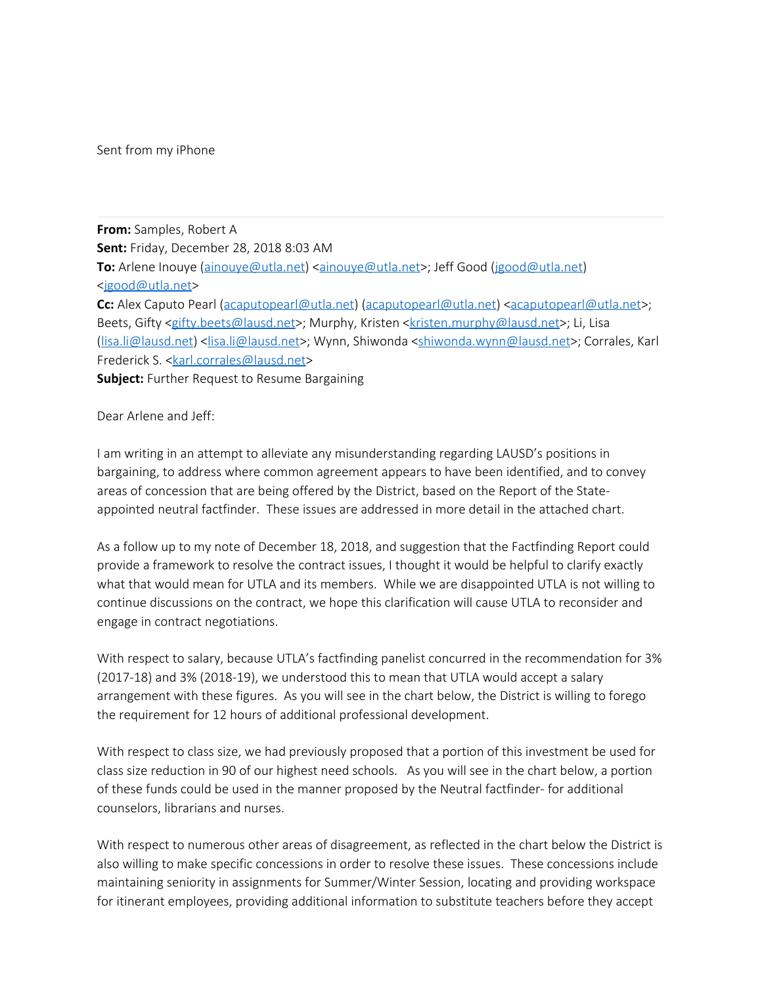Sent from my iPhone

**From:** Samples, Robert A **Sent:** Friday, December 28, 2018 8:03 AM **To:** Arlene Inouye [\(ainouye@utla.net](mailto:ainouye@utla.net)) <[ainouye@utla.net>](mailto:ainouye@utla.net); Jeff Good ([jgood@utla.net\)](mailto:jgood@utla.net) [<jgood@utla.net](mailto:jgood@utla.net)> **Cc:** Alex Caputo Pearl [\(acaputopearl@utla.net](mailto:acaputopearl@utla.net)) (acaputopearl@utla.net) [<acaputopearl@utla.net](mailto:acaputopearl@utla.net)>; Beets, Gifty [<gifty.beets@lausd.net](mailto:gifty.beets@lausd.net)>; Murphy, Kristen [<kristen.murphy@lausd.net](mailto:kristen.murphy@lausd.net)>; Li, Lisa [\(lisa.li@lausd.net](mailto:lisa.li@lausd.net)) <[lisa.li@lausd.net>](mailto:lisa.li@lausd.net); Wynn, Shiwonda [<shiwonda.wynn@lausd.net](mailto:shiwonda.wynn@lausd.net)>; Corrales, Karl Frederick S. [<karl.corrales@lausd.net](mailto:karl.corrales@lausd.net)> **Subject:** Further Request to Resume Bargaining

Dear Arlene and Jeff:

I am writing in an attempt to alleviate any misunderstanding regarding LAUSD's positions in bargaining, to address where common agreement appears to have been identified, and to convey areas of concession that are being offered by the District, based on the Report of the Stateappointed neutral factfinder. These issues are addressed in more detail in the attached chart.

As a follow up to my note of December 18, 2018, and suggestion that the Factfinding Report could provide a framework to resolve the contract issues, I thought it would be helpful to clarify exactly what that would mean for UTLA and its members. While we are disappointed UTLA is not willing to continue discussions on the contract, we hope this clarification will cause UTLA to reconsider and engage in contract negotiations.

With respect to salary, because UTLA's factfinding panelist concurred in the recommendation for 3% (2017-18) and 3% (2018-19), we understood this to mean that UTLA would accept a salary arrangement with these figures. As you will see in the chart below, the District is willing to forego the requirement for 12 hours of additional professional development.

With respect to class size, we had previously proposed that a portion of this investment be used for class size reduction in 90 of our highest need schools. As you will see in the chart below, a portion of these funds could be used in the manner proposed by the Neutral factfinder- for additional counselors, librarians and nurses.

With respect to numerous other areas of disagreement, as reflected in the chart below the District is also willing to make specific concessions in order to resolve these issues. These concessions include maintaining seniority in assignments for Summer/Winter Session, locating and providing workspace for itinerant employees, providing additional information to substitute teachers before they accept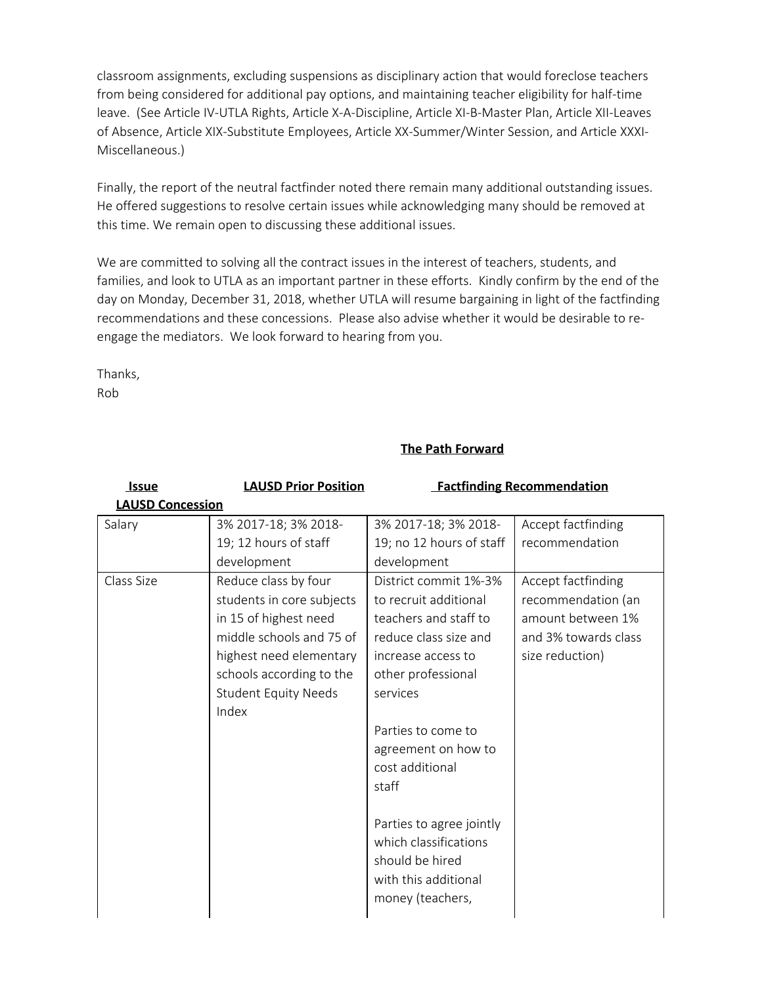classroom assignments, excluding suspensions as disciplinary action that would foreclose teachers from being considered for additional pay options, and maintaining teacher eligibility for half-time leave. (See Article IV-UTLA Rights, Article X-A-Discipline, Article XI-B-Master Plan, Article XII-Leaves of Absence, Article XIX-Substitute Employees, Article XX-Summer/Winter Session, and Article XXXI-Miscellaneous.)

Finally, the report of the neutral factfinder noted there remain many additional outstanding issues. He offered suggestions to resolve certain issues while acknowledging many should be removed at this time. We remain open to discussing these additional issues.

We are committed to solving all the contract issues in the interest of teachers, students, and families, and look to UTLA as an important partner in these efforts. Kindly confirm by the end of the day on Monday, December 31, 2018, whether UTLA will resume bargaining in light of the factfinding recommendations and these concessions. Please also advise whether it would be desirable to reengage the mediators. We look forward to hearing from you.

Thanks, Rob

| <u>Issue</u>            | <b>LAUSD Prior Position</b>                                                                                                                                                                           |                                                                                                                                                                                                                          | <b>Factfinding Recommendation</b>                                                                        |
|-------------------------|-------------------------------------------------------------------------------------------------------------------------------------------------------------------------------------------------------|--------------------------------------------------------------------------------------------------------------------------------------------------------------------------------------------------------------------------|----------------------------------------------------------------------------------------------------------|
| <b>LAUSD Concession</b> |                                                                                                                                                                                                       |                                                                                                                                                                                                                          |                                                                                                          |
| Salary                  | 3% 2017-18; 3% 2018-                                                                                                                                                                                  | 3% 2017-18; 3% 2018-                                                                                                                                                                                                     | Accept factfinding                                                                                       |
|                         | 19; 12 hours of staff                                                                                                                                                                                 | 19; no 12 hours of staff                                                                                                                                                                                                 | recommendation                                                                                           |
|                         | development                                                                                                                                                                                           | development                                                                                                                                                                                                              |                                                                                                          |
| Class Size              | Reduce class by four<br>students in core subjects<br>in 15 of highest need<br>middle schools and 75 of<br>highest need elementary<br>schools according to the<br><b>Student Equity Needs</b><br>Index | District commit 1%-3%<br>to recruit additional<br>teachers and staff to<br>reduce class size and<br>increase access to<br>other professional<br>services<br>Parties to come to<br>agreement on how to<br>cost additional | Accept factfinding<br>recommendation (an<br>amount between 1%<br>and 3% towards class<br>size reduction) |
|                         |                                                                                                                                                                                                       | staff<br>Parties to agree jointly<br>which classifications<br>should be hired<br>with this additional<br>money (teachers,                                                                                                |                                                                                                          |

# **The Path Forward**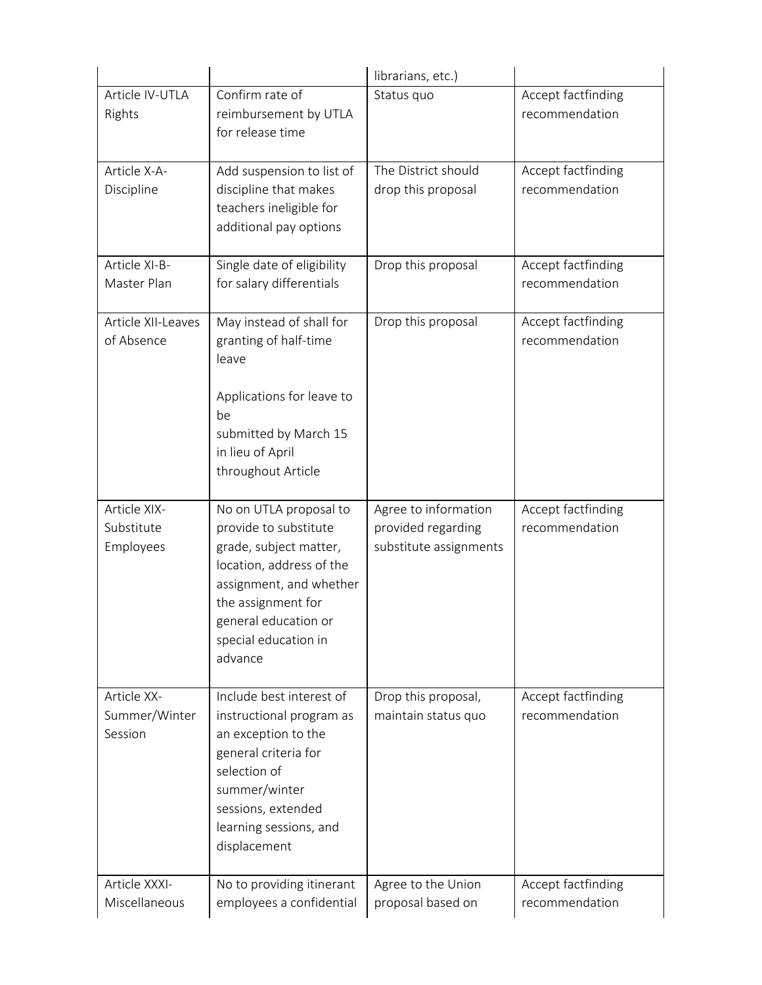|                                         |                                                                                                                                                                                                                   | librarians, etc.)                                                    |                                      |
|-----------------------------------------|-------------------------------------------------------------------------------------------------------------------------------------------------------------------------------------------------------------------|----------------------------------------------------------------------|--------------------------------------|
| Article IV-UTLA<br>Rights               | Confirm rate of<br>reimbursement by UTLA<br>for release time                                                                                                                                                      | Status quo                                                           | Accept factfinding<br>recommendation |
| Article X-A-<br>Discipline              | Add suspension to list of<br>discipline that makes<br>teachers ineligible for<br>additional pay options                                                                                                           | The District should<br>drop this proposal                            | Accept factfinding<br>recommendation |
| Article XI-B-<br>Master Plan            | Single date of eligibility<br>for salary differentials                                                                                                                                                            | Drop this proposal                                                   | Accept factfinding<br>recommendation |
| Article XII-Leaves<br>of Absence        | May instead of shall for<br>granting of half-time<br>leave<br>Applications for leave to<br>be<br>submitted by March 15<br>in lieu of April<br>throughout Article                                                  | Drop this proposal                                                   | Accept factfinding<br>recommendation |
| Article XIX-<br>Substitute<br>Employees | No on UTLA proposal to<br>provide to substitute<br>grade, subject matter,<br>location, address of the<br>assignment, and whether<br>the assignment for<br>general education or<br>special education in<br>advance | Agree to information<br>provided regarding<br>substitute assignments | Accept factfinding<br>recommendation |
| Article XX-<br>Summer/Winter<br>Session | Include best interest of<br>instructional program as<br>an exception to the<br>general criteria for<br>selection of<br>summer/winter<br>sessions, extended<br>learning sessions, and<br>displacement              | Drop this proposal,<br>maintain status quo                           | Accept factfinding<br>recommendation |
| Article XXXI-<br>Miscellaneous          | No to providing itinerant<br>employees a confidential                                                                                                                                                             | Agree to the Union<br>proposal based on                              | Accept factfinding<br>recommendation |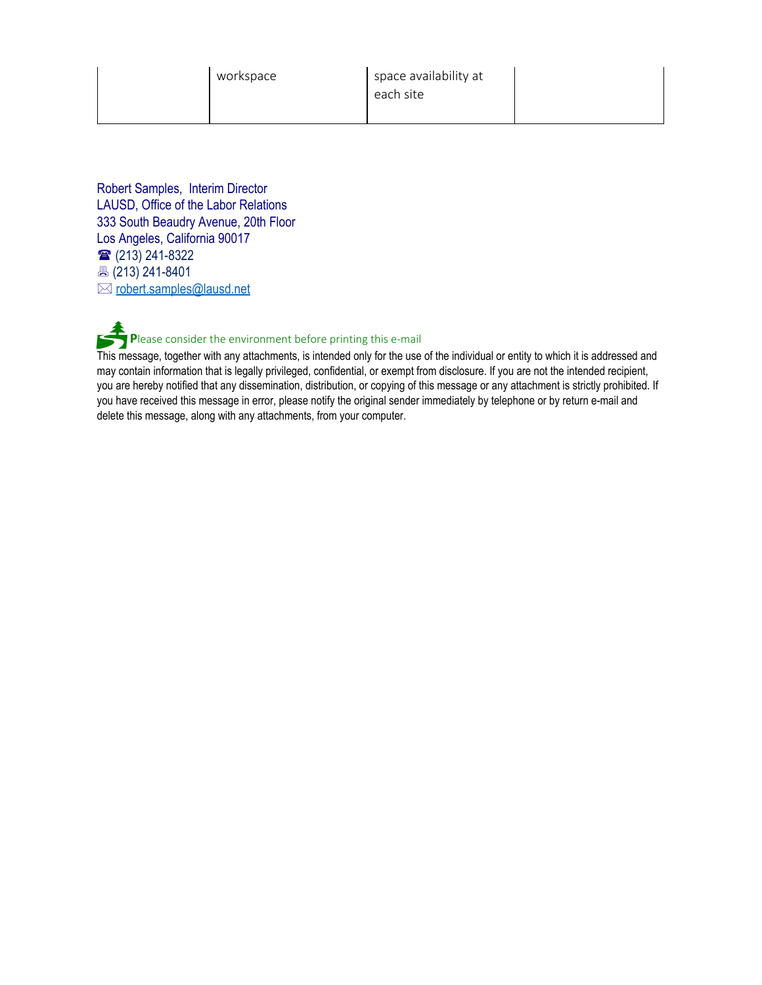Robert Samples, Interim Director LAUSD, Office of the Labor Relations 333 South Beaudry Avenue, 20th Floor Los Angeles, California 90017 13) 241-8322 7 (213) 241-8401  $\boxtimes$  [robert.samples@lausd.net](mailto:robert.samples@lausd.net)

**P** Please consider the environment before printing this e-mail

This message, together with any attachments, is intended only for the use of the individual or entity to which it is addressed and may contain information that is legally privileged, confidential, or exempt from disclosure. If you are not the intended recipient, you are hereby notified that any dissemination, distribution, or copying of this message or any attachment is strictly prohibited. If you have received this message in error, please notify the original sender immediately by telephone or by return e-mail and delete this message, along with any attachments, from your computer.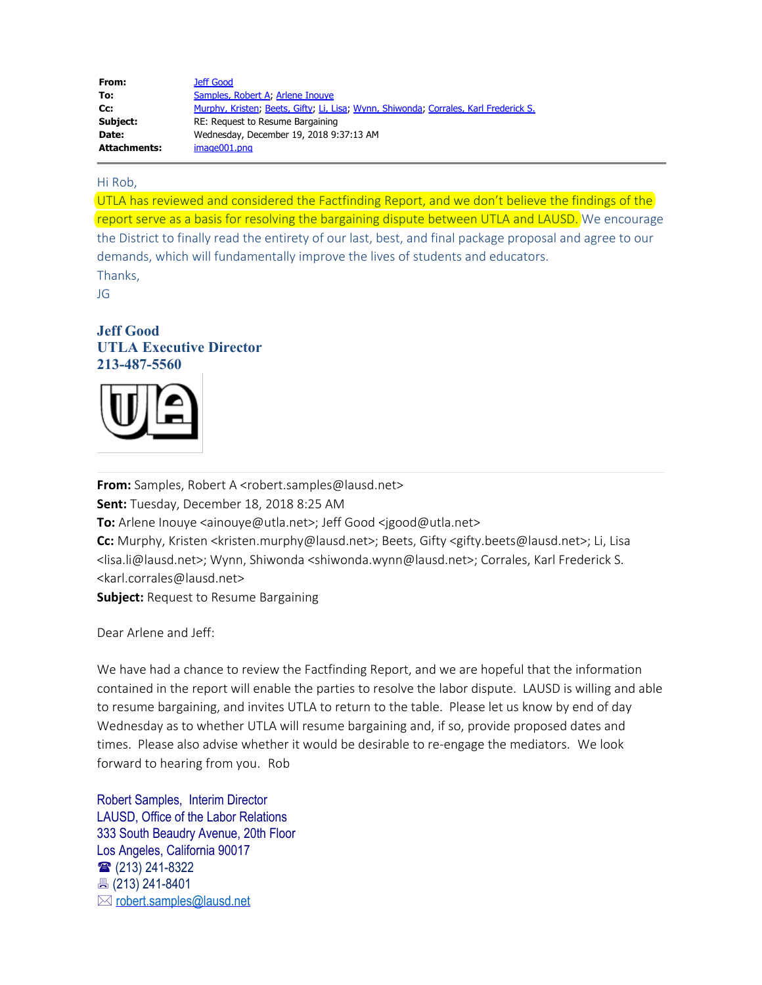| From:        | Jeff Good                                                                            |
|--------------|--------------------------------------------------------------------------------------|
| To:          | Samples, Robert A, Arlene Inouye                                                     |
| Cc:          | Murphy, Kristen; Beets, Gifty; Li, Lisa; Wynn, Shiwonda; Corrales, Karl Frederick S. |
| Subject:     | RE: Request to Resume Bargaining                                                     |
| Date:        | Wednesday, December 19, 2018 9:37:13 AM                                              |
| Attachments: | image001.png                                                                         |

#### Hi Rob,

UTLA has reviewed and considered the Factfinding Report, and we don't believe the findings of the report serve as a basis for resolving the bargaining dispute between UTLA and LAUSD. We encourage the District to finally read the entirety of our last, best, and final package proposal and agree to our demands, which will fundamentally improve the lives of students and educators. Thanks,

JG

# **Jeff Good UTLA Executive Director 213-487-5560**



**From:** Samples, Robert A <robert.samples@lausd.net> **Sent:** Tuesday, December 18, 2018 8:25 AM **To:** Arlene Inouye <ainouye@utla.net>; Jeff Good <jgood@utla.net> **Cc:** Murphy, Kristen <kristen.murphy@lausd.net>; Beets, Gifty <gifty.beets@lausd.net>; Li, Lisa <lisa.li@lausd.net>; Wynn, Shiwonda <shiwonda.wynn@lausd.net>; Corrales, Karl Frederick S. <karl.corrales@lausd.net> **Subject:** Request to Resume Bargaining

Dear Arlene and Jeff:

We have had a chance to review the Factfinding Report, and we are hopeful that the information contained in the report will enable the parties to resolve the labor dispute. LAUSD is willing and able to resume bargaining, and invites UTLA to return to the table. Please let us know by end of day Wednesday as to whether UTLA will resume bargaining and, if so, provide proposed dates and times. Please also advise whether it would be desirable to re-engage the mediators. We look forward to hearing from you. Rob

Robert Samples, Interim Director LAUSD, Office of the Labor Relations 333 South Beaudry Avenue, 20th Floor Los Angeles, California 90017  $\bullet$  (213) 241-8322 7 (213) 241-8401  $\boxtimes$  [robert.samples@lausd.net](mailto:robert.samples@lausd.net)